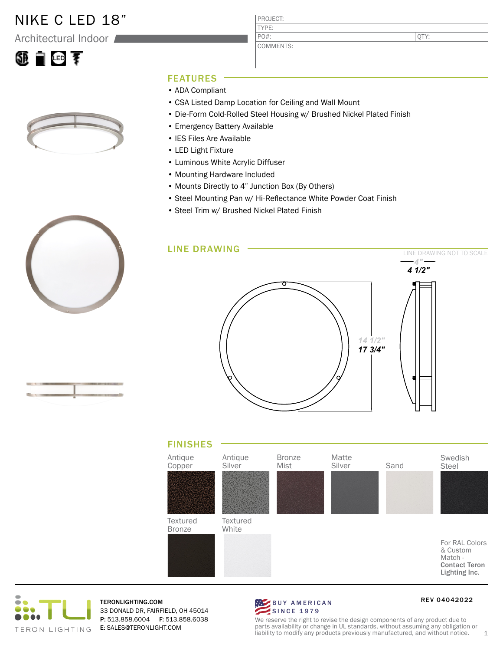## NIKE C LED 18"

Architectural Indoor





PROJECT: TYPE: COMMENTS: PO#:

QTY:

## FEATURES

- ADA Compliant
- CSA Listed Damp Location for Ceiling and Wall Mount
- Die-Form Cold-Rolled Steel Housing w/ Brushed Nickel Plated Finish
- Emergency Battery Available
- IES Files Are Available
- LED Light Fixture
- Luminous White Acrylic Diffuser
- Mounting Hardware Included
- Mounts Directly to 4" Junction Box (By Others)
- Steel Mounting Pan w/ Hi-Reflectance White Powder Coat Finish
- Steel Trim w/ Brushed Nickel Plated Finish









TERONLIGHTING.COM 33 DONALD DR, FAIRFIELD, OH 45014 P: 513.858.6004 F: 513.858.6038 E: SALES@TERONLIGHT.COM



REV 04042022

We reserve the right to revise the design components of any product due to parts availability or change in UL standards, without assuming any obligation or liability to modify any products previously manufactured, and without notice.  $1$